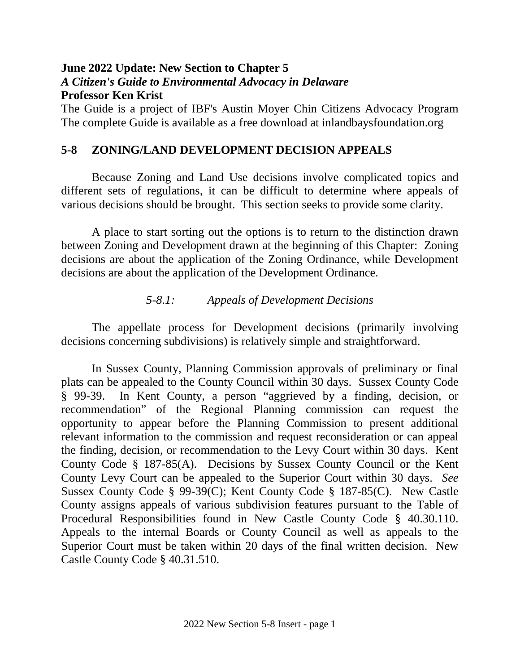# **June 2022 Update: New Section to Chapter 5**  *A Citizen's Guide to Environmental Advocacy in Delaware* **Professor Ken Krist**

The Guide is a project of IBF's Austin Moyer Chin Citizens Advocacy Program The complete Guide is available as a free download at inlandbaysfoundation.org

## **5-8 ZONING/LAND DEVELOPMENT DECISION APPEALS**

Because Zoning and Land Use decisions involve complicated topics and different sets of regulations, it can be difficult to determine where appeals of various decisions should be brought. This section seeks to provide some clarity.

A place to start sorting out the options is to return to the distinction drawn between Zoning and Development drawn at the beginning of this Chapter: Zoning decisions are about the application of the Zoning Ordinance, while Development decisions are about the application of the Development Ordinance.

## *5-8.1: Appeals of Development Decisions*

The appellate process for Development decisions (primarily involving decisions concerning subdivisions) is relatively simple and straightforward.

In Sussex County, Planning Commission approvals of preliminary or final plats can be appealed to the County Council within 30 days. Sussex County Code § 99-39. In Kent County, a person "aggrieved by a finding, decision, or recommendation" of the Regional Planning commission can request the opportunity to appear before the Planning Commission to present additional relevant information to the commission and request reconsideration or can appeal the finding, decision, or recommendation to the Levy Court within 30 days. Kent County Code § 187-85(A). Decisions by Sussex County Council or the Kent County Levy Court can be appealed to the Superior Court within 30 days. *See* Sussex County Code § 99-39(C); Kent County Code § 187-85(C). New Castle County assigns appeals of various subdivision features pursuant to the Table of Procedural Responsibilities found in New Castle County Code § 40.30.110. Appeals to the internal Boards or County Council as well as appeals to the Superior Court must be taken within 20 days of the final written decision. New Castle County Code § 40.31.510.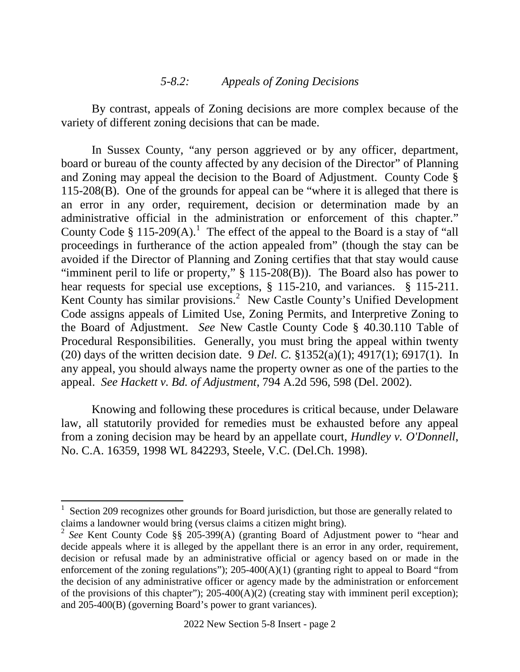#### *5-8.2: Appeals of Zoning Decisions*

By contrast, appeals of Zoning decisions are more complex because of the variety of different zoning decisions that can be made.

In Sussex County, "any person aggrieved or by any officer, department, board or bureau of the county affected by any decision of the Director" of Planning and Zoning may appeal the decision to the Board of Adjustment. County Code § 115-208(B). One of the grounds for appeal can be "where it is alleged that there is an error in any order, requirement, decision or determination made by an administrative official in the administration or enforcement of this chapter." County Code § [1](#page-1-0)15-209(A).<sup>1</sup> The effect of the appeal to the Board is a stay of "all proceedings in furtherance of the action appealed from" (though the stay can be avoided if the Director of Planning and Zoning certifies that that stay would cause "imminent peril to life or property,"  $\S$  115-208(B)). The Board also has power to hear requests for special use exceptions, § 115-210, and variances. § 115-211. Kent County has similar provisions.<sup>[2](#page-1-1)</sup> New Castle County's Unified Development Code assigns appeals of Limited Use, Zoning Permits, and Interpretive Zoning to the Board of Adjustment. *See* New Castle County Code § 40.30.110 Table of Procedural Responsibilities. Generally, you must bring the appeal within twenty (20) days of the written decision date. 9 *Del. C.* §1352(a)(1); 4917(1); 6917(1). In any appeal, you should always name the property owner as one of the parties to the appeal. *See Hackett v. Bd. of Adjustment*, 794 A.2d 596, 598 (Del. 2002).

Knowing and following these procedures is critical because, under Delaware law, all statutorily provided for remedies must be exhausted before any appeal from a zoning decision may be heard by an appellate court, *Hundley v. O'Donnell*, No. C.A. 16359, 1998 WL 842293, Steele, V.C. (Del.Ch. 1998).

<span id="page-1-0"></span> $\frac{1}{1}$  Section 209 recognizes other grounds for Board jurisdiction, but those are generally related to claims a landowner would bring (versus claims a citizen might bring).

<span id="page-1-1"></span><sup>2</sup> *See* Kent County Code §§ 205-399(A) (granting Board of Adjustment power to "hear and decide appeals where it is alleged by the appellant there is an error in any order, requirement, decision or refusal made by an administrative official or agency based on or made in the enforcement of the zoning regulations"); 205-400(A)(1) (granting right to appeal to Board "from the decision of any administrative officer or agency made by the administration or enforcement of the provisions of this chapter"); 205-400(A)(2) (creating stay with imminent peril exception); and 205-400(B) (governing Board's power to grant variances).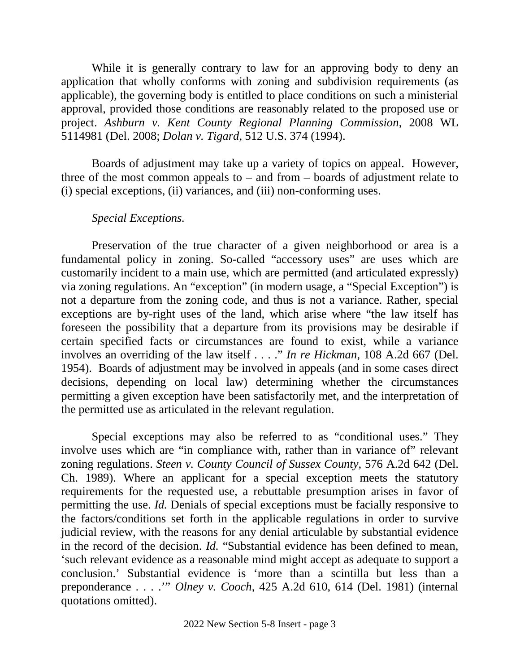While it is generally contrary to law for an approving body to deny an application that wholly conforms with zoning and subdivision requirements (as applicable), the governing body is entitled to place conditions on such a ministerial approval, provided those conditions are reasonably related to the proposed use or project. *Ashburn v. Kent County Regional Planning Commission*, 2008 WL 5114981 (Del. 2008; *Dolan v. Tigard*, 512 U.S. 374 (1994).

Boards of adjustment may take up a variety of topics on appeal. However, three of the most common appeals to  $-$  and from  $-$  boards of adjustment relate to (i) special exceptions, (ii) variances, and (iii) non-conforming uses.

## *Special Exceptions.*

Preservation of the true character of a given neighborhood or area is a fundamental policy in zoning. So-called "accessory uses" are uses which are customarily incident to a main use, which are permitted (and articulated expressly) via zoning regulations. An "exception" (in modern usage, a "Special Exception") is not a departure from the zoning code, and thus is not a variance. Rather, special exceptions are by-right uses of the land, which arise where "the law itself has foreseen the possibility that a departure from its provisions may be desirable if certain specified facts or circumstances are found to exist, while a variance involves an overriding of the law itself . . . ." *In re Hickman,* 108 A.2d 667 (Del. 1954). Boards of adjustment may be involved in appeals (and in some cases direct decisions, depending on local law) determining whether the circumstances permitting a given exception have been satisfactorily met, and the interpretation of the permitted use as articulated in the relevant regulation.

Special exceptions may also be referred to as "conditional uses." They involve uses which are "in compliance with, rather than in variance of" relevant zoning regulations. *Steen v. County Council of Sussex County,* 576 A.2d 642 (Del. Ch. 1989). Where an applicant for a special exception meets the statutory requirements for the requested use, a rebuttable presumption arises in favor of permitting the use. *Id.* Denials of special exceptions must be facially responsive to the factors/conditions set forth in the applicable regulations in order to survive judicial review, with the reasons for any denial articulable by substantial evidence in the record of the decision. *Id.* "Substantial evidence has been defined to mean, 'such relevant evidence as a reasonable mind might accept as adequate to support a conclusion.' Substantial evidence is 'more than a scintilla but less than a preponderance . . . .'" *Olney v. Cooch*, 425 A.2d 610, 614 (Del. 1981) (internal quotations omitted).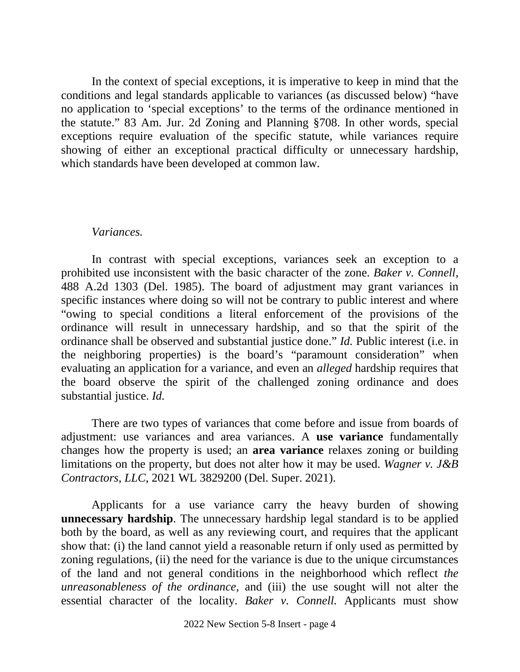In the context of special exceptions, it is imperative to keep in mind that the conditions and legal standards applicable to variances (as discussed below) "have no application to 'special exceptions' to the terms of the ordinance mentioned in the statute." 83 Am. Jur. 2d Zoning and Planning §708. In other words, special exceptions require evaluation of the specific statute, while variances require showing of either an exceptional practical difficulty or unnecessary hardship, which standards have been developed at common law.

#### *Variances.*

In contrast with special exceptions, variances seek an exception to a prohibited use inconsistent with the basic character of the zone. *Baker v. Connell*, 488 A.2d 1303 (Del. 1985). The board of adjustment may grant variances in specific instances where doing so will not be contrary to public interest and where "owing to special conditions a literal enforcement of the provisions of the ordinance will result in unnecessary hardship, and so that the spirit of the ordinance shall be observed and substantial justice done." *Id.* Public interest (i.e. in the neighboring properties) is the board's "paramount consideration" when evaluating an application for a variance, and even an *alleged* hardship requires that the board observe the spirit of the challenged zoning ordinance and does substantial justice. *Id.*

There are two types of variances that come before and issue from boards of adjustment: use variances and area variances. A **use variance** fundamentally changes how the property is used; an **area variance** relaxes zoning or building limitations on the property, but does not alter how it may be used. *Wagner v. J&B Contractors, LLC*, 2021 WL 3829200 (Del. Super. 2021).

Applicants for a use variance carry the heavy burden of showing **unnecessary hardship**. The unnecessary hardship legal standard is to be applied both by the board, as well as any reviewing court, and requires that the applicant show that: (i) the land cannot yield a reasonable return if only used as permitted by zoning regulations, (ii) the need for the variance is due to the unique circumstances of the land and not general conditions in the neighborhood which reflect *the unreasonableness of the ordinance*, and (iii) the use sought will not alter the essential character of the locality. *Baker v. Connell.* Applicants must show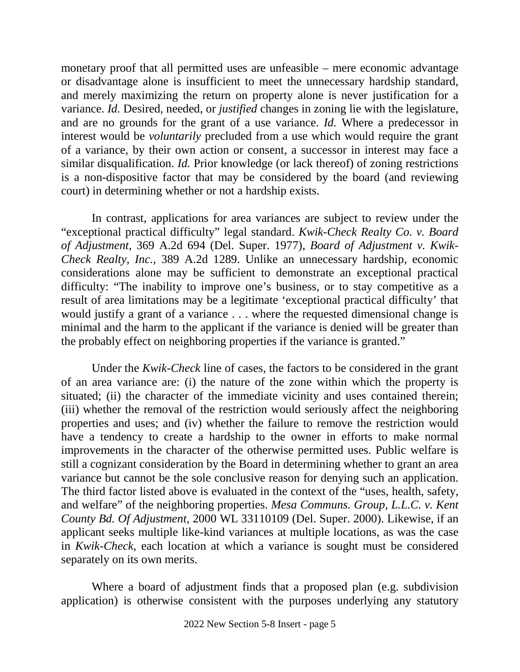monetary proof that all permitted uses are unfeasible – mere economic advantage or disadvantage alone is insufficient to meet the unnecessary hardship standard, and merely maximizing the return on property alone is never justification for a variance. *Id.* Desired, needed, or *justified* changes in zoning lie with the legislature, and are no grounds for the grant of a use variance. *Id.* Where a predecessor in interest would be *voluntarily* precluded from a use which would require the grant of a variance, by their own action or consent, a successor in interest may face a similar disqualification. *Id.* Prior knowledge (or lack thereof) of zoning restrictions is a non-dispositive factor that may be considered by the board (and reviewing court) in determining whether or not a hardship exists.

In contrast, applications for area variances are subject to review under the "exceptional practical difficulty" legal standard. *Kwik-Check Realty Co. v. Board of Adjustment,* 369 A.2d 694 (Del. Super. 1977), *Board of Adjustment v. Kwik-Check Realty, Inc.,* 389 A.2d 1289. Unlike an unnecessary hardship, economic considerations alone may be sufficient to demonstrate an exceptional practical difficulty: "The inability to improve one's business, or to stay competitive as a result of area limitations may be a legitimate 'exceptional practical difficulty' that would justify a grant of a variance . . . where the requested dimensional change is minimal and the harm to the applicant if the variance is denied will be greater than the probably effect on neighboring properties if the variance is granted."

Under the *Kwik-Check* line of cases, the factors to be considered in the grant of an area variance are: (i) the nature of the zone within which the property is situated; (ii) the character of the immediate vicinity and uses contained therein; (iii) whether the removal of the restriction would seriously affect the neighboring properties and uses; and (iv) whether the failure to remove the restriction would have a tendency to create a hardship to the owner in efforts to make normal improvements in the character of the otherwise permitted uses. Public welfare is still a cognizant consideration by the Board in determining whether to grant an area variance but cannot be the sole conclusive reason for denying such an application. The third factor listed above is evaluated in the context of the "uses, health, safety, and welfare" of the neighboring properties. *Mesa Communs. Group, L.L.C. v. Kent County Bd. Of Adjustment*, 2000 WL 33110109 (Del. Super. 2000). Likewise, if an applicant seeks multiple like-kind variances at multiple locations, as was the case in *Kwik-Check*, each location at which a variance is sought must be considered separately on its own merits.

Where a board of adjustment finds that a proposed plan (e.g. subdivision application) is otherwise consistent with the purposes underlying any statutory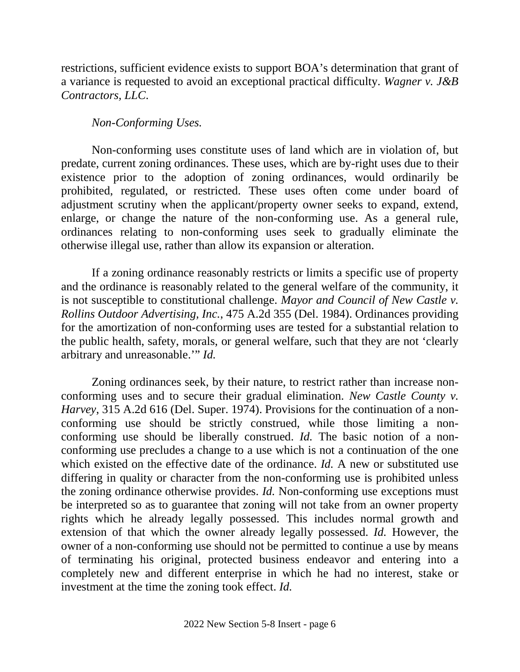restrictions, sufficient evidence exists to support BOA's determination that grant of a variance is requested to avoid an exceptional practical difficulty. *Wagner v. J&B Contractors, LLC*.

# *Non-Conforming Uses.*

Non-conforming uses constitute uses of land which are in violation of, but predate, current zoning ordinances. These uses, which are by-right uses due to their existence prior to the adoption of zoning ordinances, would ordinarily be prohibited, regulated, or restricted. These uses often come under board of adjustment scrutiny when the applicant/property owner seeks to expand, extend, enlarge, or change the nature of the non-conforming use. As a general rule, ordinances relating to non-conforming uses seek to gradually eliminate the otherwise illegal use, rather than allow its expansion or alteration.

If a zoning ordinance reasonably restricts or limits a specific use of property and the ordinance is reasonably related to the general welfare of the community, it is not susceptible to constitutional challenge. *Mayor and Council of New Castle v. Rollins Outdoor Advertising, Inc.*, 475 A.2d 355 (Del. 1984). Ordinances providing for the amortization of non-conforming uses are tested for a substantial relation to the public health, safety, morals, or general welfare, such that they are not 'clearly arbitrary and unreasonable.'" *Id.*

Zoning ordinances seek, by their nature, to restrict rather than increase nonconforming uses and to secure their gradual elimination. *New Castle County v. Harvey*, 315 A.2d 616 (Del. Super. 1974). Provisions for the continuation of a nonconforming use should be strictly construed, while those limiting a nonconforming use should be liberally construed. *Id.* The basic notion of a nonconforming use precludes a change to a use which is not a continuation of the one which existed on the effective date of the ordinance. *Id*. A new or substituted use differing in quality or character from the non-conforming use is prohibited unless the zoning ordinance otherwise provides. *Id.* Non-conforming use exceptions must be interpreted so as to guarantee that zoning will not take from an owner property rights which he already legally possessed. This includes normal growth and extension of that which the owner already legally possessed. *Id.* However, the owner of a non-conforming use should not be permitted to continue a use by means of terminating his original, protected business endeavor and entering into a completely new and different enterprise in which he had no interest, stake or investment at the time the zoning took effect. *Id.*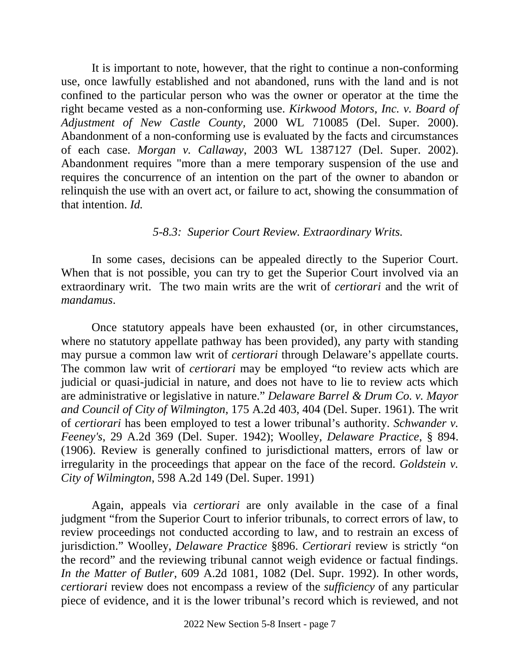It is important to note, however, that the right to continue a non-conforming use, once lawfully established and not abandoned, runs with the land and is not confined to the particular person who was the owner or operator at the time the right became vested as a non-conforming use. *Kirkwood Motors, Inc. v. Board of Adjustment of New Castle County,* 2000 WL 710085 (Del. Super. 2000). Abandonment of a non-conforming use is evaluated by the facts and circumstances of each case. *Morgan v. Callaway*, 2003 WL 1387127 (Del. Super. 2002). Abandonment requires "more than a mere temporary suspension of the use and requires the concurrence of an intention on the part of the owner to abandon or relinquish the use with an overt act, or failure to act, showing the consummation of that intention. *Id.*

#### *5-8.3: Superior Court Review. Extraordinary Writs.*

In some cases, decisions can be appealed directly to the Superior Court. When that is not possible, you can try to get the Superior Court involved via an extraordinary writ. The two main writs are the writ of *certiorari* and the writ of *mandamus*.

Once statutory appeals have been exhausted (or, in other circumstances, where no statutory appellate pathway has been provided), any party with standing may pursue a common law writ of *certiorari* through Delaware's appellate courts. The common law writ of *certiorari* may be employed "to review acts which are judicial or quasi-judicial in nature, and does not have to lie to review acts which are administrative or legislative in nature." *Delaware Barrel & Drum Co. v. Mayor and Council of City of Wilmington*, 175 A.2d 403, 404 (Del. Super. 1961). The writ of *certiorari* has been employed to test a lower tribunal's authority. *Schwander v. Feeney's*, 29 A.2d 369 (Del. Super. 1942); Woolley, *Delaware Practice*, § 894. (1906). Review is generally confined to jurisdictional matters, errors of law or irregularity in the proceedings that appear on the face of the record. *Goldstein v. City of Wilmington*, 598 A.2d 149 (Del. Super. 1991)

Again, appeals via *certiorari* are only available in the case of a final judgment "from the Superior Court to inferior tribunals, to correct errors of law, to review proceedings not conducted according to law, and to restrain an excess of jurisdiction." Woolley, *Delaware Practice* §896. *Certiorari* review is strictly "on the record" and the reviewing tribunal cannot weigh evidence or factual findings. *In the Matter of Butler*, 609 A.2d 1081, 1082 (Del. Supr. 1992). In other words, *certiorari* review does not encompass a review of the *sufficiency* of any particular piece of evidence, and it is the lower tribunal's record which is reviewed, and not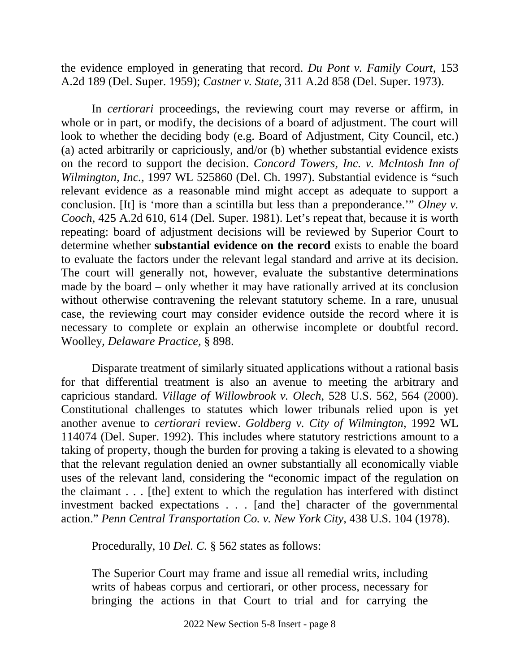the evidence employed in generating that record. *Du Pont v. Family Court,* 153 A.2d 189 (Del. Super. 1959); *Castner v. State*, 311 A.2d 858 (Del. Super. 1973).

In *certiorari* proceedings, the reviewing court may reverse or affirm, in whole or in part, or modify, the decisions of a board of adjustment. The court will look to whether the deciding body (e.g. Board of Adjustment, City Council, etc.) (a) acted arbitrarily or capriciously, and/or (b) whether substantial evidence exists on the record to support the decision. *Concord Towers, Inc. v. McIntosh Inn of Wilmington, Inc.,* 1997 WL 525860 (Del. Ch. 1997). Substantial evidence is "such relevant evidence as a reasonable mind might accept as adequate to support a conclusion. [It] is 'more than a scintilla but less than a preponderance.'" *Olney v. Cooch,* 425 A.2d 610, 614 (Del. Super. 1981). Let's repeat that, because it is worth repeating: board of adjustment decisions will be reviewed by Superior Court to determine whether **substantial evidence on the record** exists to enable the board to evaluate the factors under the relevant legal standard and arrive at its decision. The court will generally not, however, evaluate the substantive determinations made by the board – only whether it may have rationally arrived at its conclusion without otherwise contravening the relevant statutory scheme. In a rare, unusual case, the reviewing court may consider evidence outside the record where it is necessary to complete or explain an otherwise incomplete or doubtful record. Woolley, *Delaware Practice,* § 898.

Disparate treatment of similarly situated applications without a rational basis for that differential treatment is also an avenue to meeting the arbitrary and capricious standard. *Village of Willowbrook v. Olech*, 528 U.S. 562, 564 (2000). Constitutional challenges to statutes which lower tribunals relied upon is yet another avenue to *certiorari* review. *Goldberg v. City of Wilmington*, 1992 WL 114074 (Del. Super. 1992). This includes where statutory restrictions amount to a taking of property, though the burden for proving a taking is elevated to a showing that the relevant regulation denied an owner substantially all economically viable uses of the relevant land, considering the "economic impact of the regulation on the claimant . . . [the] extent to which the regulation has interfered with distinct investment backed expectations . . . [and the] character of the governmental action." *Penn Central Transportation Co. v. New York City*, 438 U.S. 104 (1978).

Procedurally, 10 *Del. C.* § 562 states as follows:

The Superior Court may frame and issue all remedial writs, including writs of habeas corpus and certiorari, or other process, necessary for bringing the actions in that Court to trial and for carrying the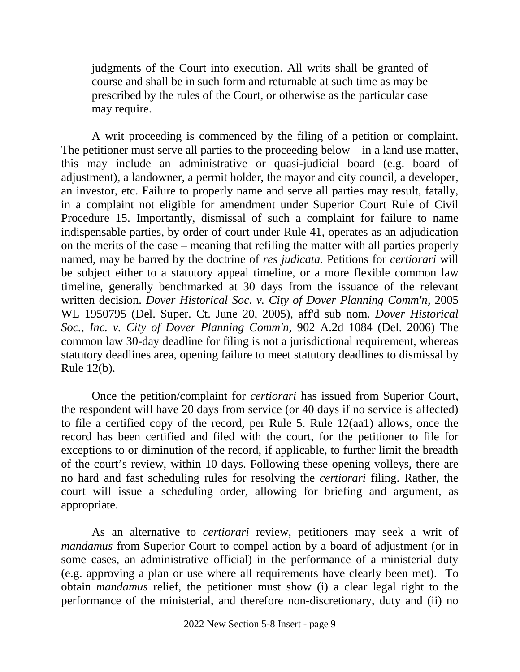judgments of the Court into execution. All writs shall be granted of course and shall be in such form and returnable at such time as may be prescribed by the rules of the Court, or otherwise as the particular case may require.

A writ proceeding is commenced by the filing of a petition or complaint. The petitioner must serve all parties to the proceeding below – in a land use matter, this may include an administrative or quasi-judicial board (e.g. board of adjustment), a landowner, a permit holder, the mayor and city council, a developer, an investor, etc. Failure to properly name and serve all parties may result, fatally, in a complaint not eligible for amendment under Superior Court Rule of Civil Procedure 15. Importantly, dismissal of such a complaint for failure to name indispensable parties, by order of court under Rule 41, operates as an adjudication on the merits of the case – meaning that refiling the matter with all parties properly named, may be barred by the doctrine of *res judicata.* Petitions for *certiorari* will be subject either to a statutory appeal timeline, or a more flexible common law timeline, generally benchmarked at 30 days from the issuance of the relevant written decision. *Dover Historical Soc. v. City of Dover Planning Comm'n*, 2005 WL 1950795 (Del. Super. Ct. June 20, 2005), aff'd sub nom. *Dover Historical Soc., Inc. v. City of Dover Planning Comm'n*, 902 A.2d 1084 (Del. 2006) The common law 30-day deadline for filing is not a jurisdictional requirement, whereas statutory deadlines area, opening failure to meet statutory deadlines to dismissal by Rule 12(b).

Once the petition/complaint for *certiorari* has issued from Superior Court, the respondent will have 20 days from service (or 40 days if no service is affected) to file a certified copy of the record, per Rule 5. Rule 12(aa1) allows, once the record has been certified and filed with the court, for the petitioner to file for exceptions to or diminution of the record, if applicable, to further limit the breadth of the court's review, within 10 days. Following these opening volleys, there are no hard and fast scheduling rules for resolving the *certiorari* filing. Rather, the court will issue a scheduling order, allowing for briefing and argument, as appropriate.

As an alternative to *certiorari* review, petitioners may seek a writ of *mandamus* from Superior Court to compel action by a board of adjustment (or in some cases, an administrative official) in the performance of a ministerial duty (e.g. approving a plan or use where all requirements have clearly been met). To obtain *mandamus* relief, the petitioner must show (i) a clear legal right to the performance of the ministerial, and therefore non-discretionary, duty and (ii) no